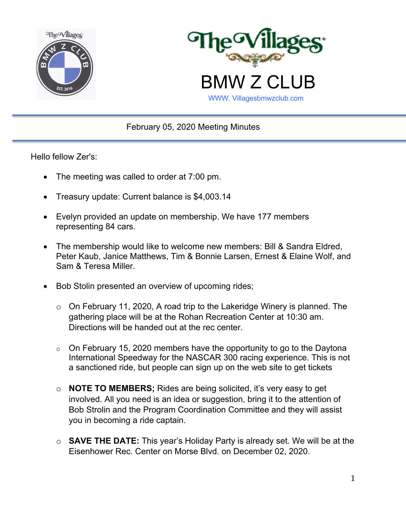



February 05, 2020 Meeting Minutes

Hello fellow Zer's:

- The meeting was called to order at 7:00 pm.
- Treasury update: Current balance is \$4,003.14
- Evelyn provided an update on membership. We have 177 members representing 84 cars.
- The membership would like to welcome new members: Bill & Sandra Eldred, Peter Kaub, Janice Matthews, Tim & Bonnie Larsen, Ernest & Elaine Wolf, and Sam & Teresa Miller.
- Bob Stolin presented an overview of upcoming rides;
	- o On February 11, 2020, A road trip to the Lakeridge Winery is planned. The gathering place will be at the Rohan Recreation Center at 10:30 am. Directions will be handed out at the rec center.
	- $\circ$  On February 15, 2020 members have the opportunity to go to the Daytona International Speedway for the NASCAR 300 racing experience. This is not a sanctioned ride, but people can sign up on the web site to get tickets
	- o **NOTE TO MEMBERS;** Rides are being solicited, it's very easy to get involved. All you need is an idea or suggestion, bring it to the attention of Bob Strolin and the Program Coordination Committee and they will assist you in becoming a ride captain.
	- o **SAVE THE DATE:** This year's Holiday Party is already set. We will be at the Eisenhower Rec. Center on Morse Blvd. on December 02, 2020.